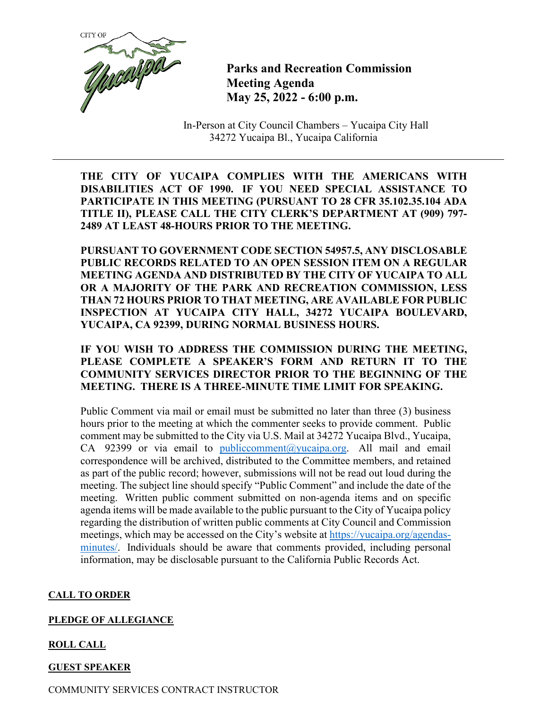

**Parks and Recreation Commission Meeting Agenda May 25, 2022 - 6:00 p.m.**

In-Person at City Council Chambers – Yucaipa City Hall 34272 Yucaipa Bl., Yucaipa California

**THE CITY OF YUCAIPA COMPLIES WITH THE AMERICANS WITH DISABILITIES ACT OF 1990. IF YOU NEED SPECIAL ASSISTANCE TO PARTICIPATE IN THIS MEETING (PURSUANT TO 28 CFR 35.102.35.104 ADA TITLE II), PLEASE CALL THE CITY CLERK'S DEPARTMENT AT (909) 797- 2489 AT LEAST 48-HOURS PRIOR TO THE MEETING.**

**PURSUANT TO GOVERNMENT CODE SECTION 54957.5, ANY DISCLOSABLE PUBLIC RECORDS RELATED TO AN OPEN SESSION ITEM ON A REGULAR MEETING AGENDA AND DISTRIBUTED BY THE CITY OF YUCAIPA TO ALL OR A MAJORITY OF THE PARK AND RECREATION COMMISSION, LESS THAN 72 HOURS PRIOR TO THAT MEETING, ARE AVAILABLE FOR PUBLIC INSPECTION AT YUCAIPA CITY HALL, 34272 YUCAIPA BOULEVARD, YUCAIPA, CA 92399, DURING NORMAL BUSINESS HOURS.**

**IF YOU WISH TO ADDRESS THE COMMISSION DURING THE MEETING, PLEASE COMPLETE A SPEAKER'S FORM AND RETURN IT TO THE COMMUNITY SERVICES DIRECTOR PRIOR TO THE BEGINNING OF THE MEETING. THERE IS A THREE-MINUTE TIME LIMIT FOR SPEAKING.**

Public Comment via mail or email must be submitted no later than three (3) business hours prior to the meeting at which the commenter seeks to provide comment. Public comment may be submitted to the City via U.S. Mail at 34272 Yucaipa Blvd., Yucaipa, CA 92399 or via email to [publiccomment@yucaipa.org.](mailto:publiccomment@yucaipa.org) All mail and email correspondence will be archived, distributed to the Committee members, and retained as part of the public record; however, submissions will not be read out loud during the meeting. The subject line should specify "Public Comment" and include the date of the meeting. Written public comment submitted on non-agenda items and on specific agenda items will be made available to the public pursuant to the City of Yucaipa policy regarding the distribution of written public comments at City Council and Commission meetings, which may be accessed on the City's website at [https://yucaipa.org/agendas](https://linkprotect.cudasvc.com/url?a=https%3a%2f%2fyucaipa.org%2fagendas-minutes%2f&c=E,1,8iu_aLaCQsOmYjnWdhNeQgU9-XVoB5a0CzOs_nrmw5nAY-k_y7XZa3JAnXx2dduIQhERc5pzGH0uA9TG0OvmT6S6_YXFTmLh8Gy4-DGG9zUALHtuXEtWj2x5&typo=1)[minutes/.](https://linkprotect.cudasvc.com/url?a=https%3a%2f%2fyucaipa.org%2fagendas-minutes%2f&c=E,1,8iu_aLaCQsOmYjnWdhNeQgU9-XVoB5a0CzOs_nrmw5nAY-k_y7XZa3JAnXx2dduIQhERc5pzGH0uA9TG0OvmT6S6_YXFTmLh8Gy4-DGG9zUALHtuXEtWj2x5&typo=1) Individuals should be aware that comments provided, including personal information, may be disclosable pursuant to the California Public Records Act.

## **CALL TO ORDER**

## **PLEDGE OF ALLEGIANCE**

# **ROLL CALL**

# **GUEST SPEAKER**